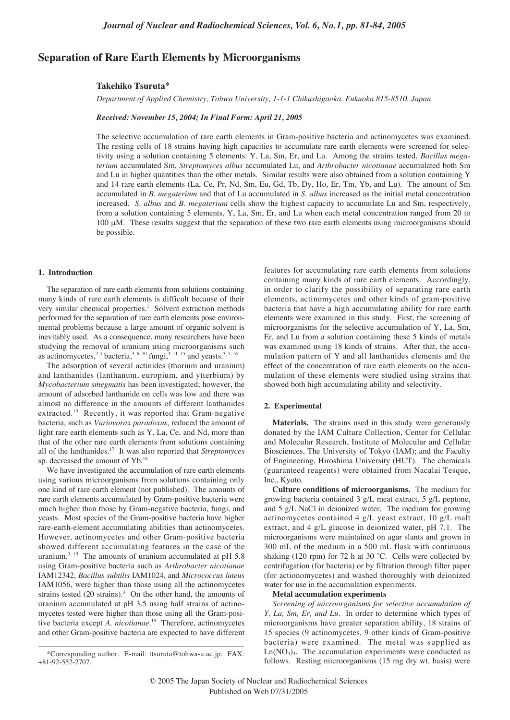# **Separation of Rare Earth Elements by Microorganisms**

### **Takehiko Tsuruta\***

*Department of Applied Chemistry, Tohwa University, 1-1-1 Chikushigaoka, Fukuoka 815-8510, Japan*

#### *Received: November 15, 2004; In Final Form: April 21, 2005*

The selective accumulation of rare earth elements in Gram-positive bacteria and actinomycetes was examined. The resting cells of 18 strains having high capacities to accumulate rare earth elements were screened for selectivity using a solution containing 5 elements: Y, La, Sm, Er, and Lu. Among the strains tested, *Bacillus megaterium* accumulated Sm, *Streptomyces albus* accumulated Lu, and *Arthrobacter nicotianae* accumulated both Sm and Lu in higher quantities than the other metals. Similar results were also obtained from a solution containing Y and 14 rare earth elements (La, Ce, Pr, Nd, Sm, Eu, Gd, Tb, Dy, Ho, Er, Tm, Yb, and Lu). The amount of Sm accumulated in *B. megaterium* and that of Lu accumulated in *S. albus* increased as the initial metal concentration increased. *S. albus* and *B. megaterium* cells show the highest capacity to accumulate Lu and Sm, respectively, from a solution containing 5 elements, Y, La, Sm, Er, and Lu when each metal concentration ranged from 20 to 100 µM. These results suggest that the separation of these two rare earth elements using microorganisms should be possible.

### **1. Introduction**

The separation of rare earth elements from solutions containing many kinds of rare earth elements is difficult because of their very similar chemical properties.<sup>1</sup> Solvent extraction methods performed for the separation of rare earth elements pose environmental problems because a large amount of organic solvent is inevitably used. As a consequence, many researchers have been studying the removal of uranium using microorganisms such as actinomycetes,<sup>2-5</sup> bacteria,<sup>3, 6-10</sup> fungi,<sup>3, 11-15</sup> and yeasts.<sup>3, 7, 16</sup>

The adsorption of several actinides (thorium and uranium) and lanthanides (lanthanum, europium, and ytterbium) by *Mycobacterium smegmatis* has been investigated; however, the amount of adsorbed lanthanide on cells was low and there was almost no difference in the amounts of different lanthanides extracted.<sup>10</sup> Recently, it was reported that Gram-negative bacteria, such as *Variovorax paradoxus,* reduced the amount of light rare earth elements such as Y, La, Ce, and Nd, more than that of the other rare earth elements from solutions containing all of the lanthanides.17 It was also reported that *Streptomyces* sp. decreased the amount of Yb.<sup>18</sup>

We have investigated the accumulation of rare earth elements using various microorganisms from solutions containing only one kind of rare earth element (not published). The amounts of rare earth elements accumulated by Gram-positive bacteria were much higher than those by Gram-negative bacteria, fungi, and yeasts. Most species of the Gram-positive bacteria have higher rare-earth-element accumulating abilities than actinomycetes. However, actinomycetes and other Gram-positive bacteria showed different accumulating features in the case of the uranium. $3,19$  The amounts of uranium accumulated at pH 5.8 using Gram-positive bacteria such as *Arthrobacter nicotianae* IAM12342, *Bacillus subtilis* IAM1024, and *Micrococcus luteus* IAM1056, were higher than those using all the actinomycetes strains tested  $(20 \text{ strains})$ .<sup>3</sup> On the other hand, the amounts of uranium accumulated at pH 3.5 using half strains of actinomycetes tested were higher than those using all the Gram-positive bacteria except *A. nicotianae.*<sup>19</sup> Therefore, actinomycetes and other Gram-positive bacteria are expected to have different features for accumulating rare earth elements from solutions containing many kinds of rare earth elements. Accordingly, in order to clarify the possibility of separating rare earth elements, actinomycetes and other kinds of gram-positive bacteria that have a high accumulating ability for rare earth elements were examined in this study. First, the screening of microorganisms for the selective accumulation of Y, La, Sm, Er, and Lu from a solution containing these 5 kinds of metals was examined using 18 kinds of strains. After that, the accumulation pattern of Y and all lanthanides elements and the effect of the concentration of rare earth elements on the accumulation of these elements were studied using strains that showed both high accumulating ability and selectivity.

## **2. Experimental**

**Materials.** The strains used in this study were generously donated by the IAM Culture Collection, Center for Cellular and Molecular Research, Institute of Molecular and Cellular Biosciences, The University of Tokyo (IAM); and the Faculty of Engineering, Hiroshima University (HUT). The chemicals (guaranteed reagents) were obtained from Nacalai Tesque, Inc., Kyoto.

**Culture conditions of microorganisms.** The medium for growing bacteria contained 3 g/L meat extract, 5 g/L peptone, and 5 g/L NaCl in deionized water. The medium for growing actinomycetes contained 4 g/L yeast extract, 10 g/L malt extract, and 4 g/L glucose in deionized water, pH 7.1. The microorganisms were maintained on agar slants and grown in 300 mL of the medium in a 500 mL flask with continuous shaking (120 rpm) for 72 h at 30 ˚C. Cells were collected by centrifugation (for bacteria) or by filtration through filter paper (for actionomycetes) and washed thoroughly with deionized water for use in the accumulation experiments.

### **Metal accumulation experiments**

*Screening of microorganisms for selective accumulation of Y, La, Sm, Er, and Lu.* In order to determine which types of microorganisms have greater separation ability, 18 strains of 15 species (9 actinomycetes, 9 other kinds of Gram-positive bacteria) were examined. The metal was supplied as  $Ln(NO<sub>3</sub>)<sub>3</sub>$ . The accumulation experiments were conducted as follows. Resting microorganisms (15 mg dry wt. basis) were

<sup>\*</sup>Corresponding author. E-mail: ttsuruta@tohwa-u.ac.jp. FAX: +81-92-552-2707.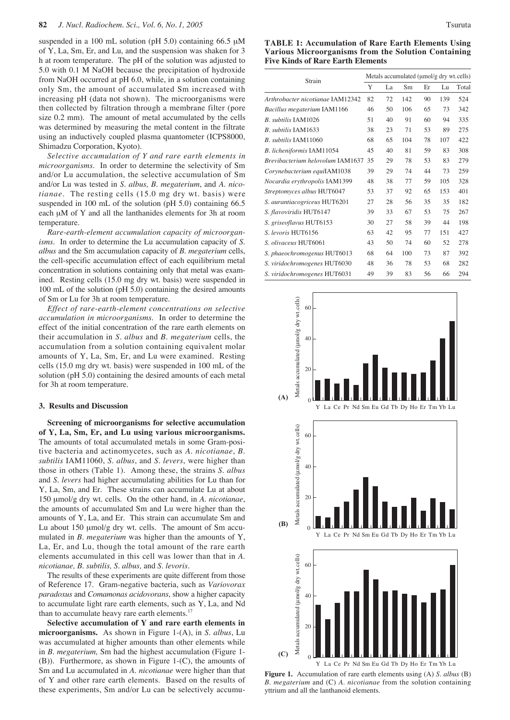suspended in a 100 mL solution (pH 5.0) containing 66.5  $\mu$ M of Y, La, Sm, Er, and Lu, and the suspension was shaken for 3 h at room temperature. The pH of the solution was adjusted to 5.0 with 0.1 M NaOH because the precipitation of hydroxide from NaOH occurred at pH 6.0, while, in a solution containing only Sm, the amount of accumulated Sm increased with increasing pH (data not shown). The microorganisms were then collected by filtration through a membrane filter (pore size 0.2 mm). The amount of metal accumulated by the cells was determined by measuring the metal content in the filtrate using an inductively coupled plasma quantometer (ICPS8000, Shimadzu Corporation, Kyoto).

*Selective accumulation of Y and rare earth elements in microorganisms.* In order to determine the selectivity of Sm and/or Lu accumulation, the selective accumulation of Sm and/or Lu was tested in *S. albus, B. megaterium*, and *A. nicotianae.* The resting cells (15.0 mg dry wt. basis) were suspended in 100 mL of the solution (pH 5.0) containing 66.5 each  $\mu$ M of Y and all the lanthanides elements for 3h at room temperature.

*Rare-earth-element accumulation capacity of microorganisms*. In order to determine the Lu accumulation capacity of *S. albus* and the Sm accumulation capacity of *B. megaterium* cells, the cell-specific accumulation effect of each equilibrium metal concentration in solutions containing only that metal was examined. Resting cells (15.0 mg dry wt. basis) were suspended in 100 mL of the solution (pH 5.0) containing the desired amounts of Sm or Lu for 3h at room temperature.

*Effect of rare-earth-element concentrations on selective accumulation in microorganisms*. In order to determine the effect of the initial concentration of the rare earth elements on their accumulation in *S. albus* and *B. megaterium* cells, the accumulation from a solution containing equivalent molar amounts of Y, La, Sm, Er, and Lu were examined. Resting cells (15.0 mg dry wt. basis) were suspended in 100 mL of the solution (pH 5.0) containing the desired amounts of each metal for 3h at room temperature.

### **3. Results and Discussion**

**Screening of microorganisms for selective accumulation of Y, La, Sm, Er, and Lu using various microorganisms.** The amounts of total accumulated metals in some Gram-positive bacteria and actinomycetes, such as *A. nicotianae*, *B. subtilis* IAM11060, *S. albus*, and *S. levers*, were higher than those in others (Table 1). Among these, the strains *S. albus* and *S. levers* had higher accumulating abilities for Lu than for Y, La, Sm, and Er. These strains can accumulate Lu at about 150 µmol/g dry wt. cells. On the other hand, in *A. nicotianae*, the amounts of accumulated Sm and Lu were higher than the amounts of Y, La, and Er. This strain can accumulate Sm and Lu about 150 µmol/g dry wt. cells. The amount of Sm accumulated in *B. megaterium* was higher than the amounts of Y, La, Er, and Lu, though the total amount of the rare earth elements accumulated in this cell was lower than that in *A. nicotianae, B. subtilis, S. albus,* and *S. levoris*.

The results of these experiments are quite different from those of Reference 17. Gram-negative bacteria, such as *Variovorax paradoxus* and *Comamonas acidovorans*, show a higher capacity to accumulate light rare earth elements, such as Y, La, and Nd than to accumulate heavy rare earth elements.<sup>17</sup>

**Selective accumulation of Y and rare earth elements in microorganisms.** As shown in Figure 1-(A), in *S. albus*, Lu was accumulated at higher amounts than other elements while in *B. megaterium,* Sm had the highest accumulation (Figure 1- (B)). Furthermore, as shown in Figure 1-(C), the amounts of Sm and Lu accumulated in *A. nicotianae* were higher than that of Y and other rare earth elements. Based on the results of these experiments, Sm and/or Lu can be selectively accumu-

**TABLE 1: Accumulation of Rare Earth Elements Using Various Microorganisms from the Solution Containing Five Kinds of Rare Earth Elements**

|                                  | Metals accumulated (umol/g dry wt.cells) |    |     |    |     |       |  |
|----------------------------------|------------------------------------------|----|-----|----|-----|-------|--|
| Strain                           |                                          | La | Sm  | Er | Lu  | Total |  |
| Arthrobacter nicotianae IAM12342 | 82                                       | 72 | 142 | 90 | 139 | 524   |  |
| Bacillus megaterium IAM1166      | 46                                       | 50 | 106 | 65 | 73  | 342   |  |
| B. subtilis IAM1026              | 51                                       | 40 | 91  | 60 | 94  | 335   |  |
| B. subtilis IAM1633              | 38                                       | 23 | 71  | 53 | 89  | 275   |  |
| B. subtilis IAM11060             | 68                                       | 65 | 104 | 78 | 107 | 422   |  |
| B. licheniformis IAM11054        | 45                                       | 40 | 81  | 59 | 83  | 308   |  |
| Brevibacterium helovolum IAM1637 | 35                                       | 29 | 78  | 53 | 83  | 279   |  |
| Corynebacterium equiIAM1038      | 39                                       | 29 | 74  | 44 | 73  | 259   |  |
| Nocardia erythropolis IAM1399    | 48                                       | 38 | 77  | 59 | 105 | 328   |  |
| Streptomyces albus HUT6047       | 53                                       | 37 | 92  | 65 | 153 | 401   |  |
| S. aurantiacogriceus HUT6201     | 27                                       | 28 | 56  | 35 | 35  | 182   |  |
| S. flavoviridis HUT6147          | 39                                       | 33 | 67  | 53 | 75  | 267   |  |
| S. griseoflavus HUT6153          | 30                                       | 27 | 58  | 39 | 44  | 198   |  |
| S. levoris HUT6156               | 63                                       | 42 | 95  | 77 | 151 | 427   |  |
| S. olivaceus HUT6061             | 43                                       | 50 | 74  | 60 | 52  | 278   |  |
| S. phaeochromogenus HUT6013      | 68                                       | 64 | 100 | 73 | 87  | 392   |  |
| S. viridochromogenes HUT6030     | 48                                       | 36 | 78  | 53 | 68  | 282   |  |
| S. viridochromogenes HUT6031     | 49                                       | 39 | 83  | 56 | 66  | 294   |  |



**Figure 1.** Accumulation of rare earth elements using (A) *S. albus* (B) *B. megaterium* and (C) *A. nicotianae* from the solution containing yttrium and all the lanthanoid elements.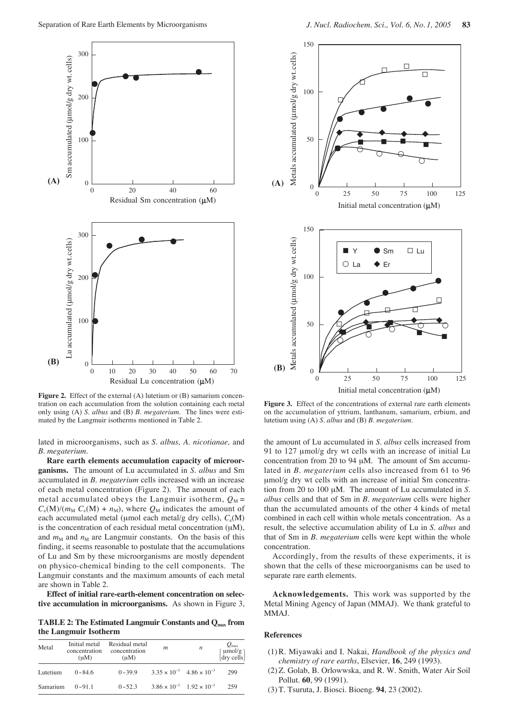

**Figure 2.** Effect of the external (A) lutetium or (B) samarium concentration on each accumulation from the solution containing each metal only using (A) *S. albus* and (B) *B. megaterium.* The lines were estimated by the Langmuir isotherms mentioned in Table 2.

lated in microorganisms, such as *S. albus, A. nicotianae,* and *B. megaterium*.

**Rare earth elements accumulation capacity of microorganisms.** The amount of Lu accumulated in *S. albus* and Sm accumulated in *B. megaterium* cells increased with an increase of each metal concentration (Figure 2). The amount of each metal accumulated obeys the Langmuir isotherm,  $Q_M$  =  $C_e(M)/(m_M C_e(M) + n_M)$ , where  $Q_M$  indicates the amount of each accumulated metal ( $\mu$ mol each metal/g dry cells),  $C_e(M)$ is the concentration of each residual metal concentration  $(\mu M)$ , and  $m_M$  and  $n_M$  are Langmuir constants. On the basis of this finding, it seems reasonable to postulate that the accumulations of Lu and Sm by these microorganisms are mostly dependent on physico-chemical binding to the cell components. The Langmuir constants and the maximum amounts of each metal are shown in Table 2.

**Effect of initial rare-earth-element concentration on selective accumulation in microorganisms.** As shown in Figure 3,

**TABLE 2: The Estimated Langmuir Constants and Qmax from the Langmuir Isotherm**

| Metal    | Initial metal<br>$(\mu M)$ | Residual metal<br>concentration concentration<br>$(\mu M)$ | m                                           | $\boldsymbol{n}$                            | $Q_{\rm max}$<br>$\begin{bmatrix} \mu \text{mol/g} \\ \text{dry cells} \end{bmatrix}$ |
|----------|----------------------------|------------------------------------------------------------|---------------------------------------------|---------------------------------------------|---------------------------------------------------------------------------------------|
| Lutetium | $0 - 84.6$                 | $0 - 39.9$                                                 | $3.35 \times 10^{-3}$ 4.86 $\times 10^{-3}$ |                                             | 299                                                                                   |
| Samarium | $0 - 91.1$                 | $0 - 52.3$                                                 |                                             | $3.86 \times 10^{-3}$ $1.92 \times 10^{-3}$ | 259                                                                                   |



**Figure 3.** Effect of the concentrations of external rare earth elements on the accumulation of yttrium, lanthanum, samarium, erbium, and lutetium using (A) *S. albus* and (B) *B. megaterium.*

the amount of Lu accumulated in *S. albus* cells increased from 91 to 127 µmol/g dry wt cells with an increase of initial Lu concentration from 20 to 94 µM. The amount of Sm accumulated in *B. megaterium* cells also increased from 61 to 96 µmol/g dry wt cells with an increase of initial Sm concentration from 20 to 100 µM. The amount of Lu accumulated in *S. albus* cells and that of Sm in *B. megaterium* cells were higher than the accumulated amounts of the other 4 kinds of metal combined in each cell within whole metals concentration. As a result, the selective accumulation ability of Lu in *S. albus* and that of Sm in *B. megaterium* cells were kept within the whole concentration.

Accordingly, from the results of these experiments, it is shown that the cells of these microorganisms can be used to separate rare earth elements.

**Acknowledgements.** This work was supported by the Metal Mining Agency of Japan (MMAJ). We thank grateful to MMAJ.

#### **References**

- (1)R. Miyawaki and I. Nakai, *Handbook of the physics and chemistry of rare earths*, Elsevier, **16**, 249 (1993).
- (2) Z. Golab, B. Orlowwska, and R. W. Smith, Water Air Soil Pollut. **60**, 99 (1991).
- (3) T. Tsuruta, J. Biosci. Bioeng. **94**, 23 (2002).